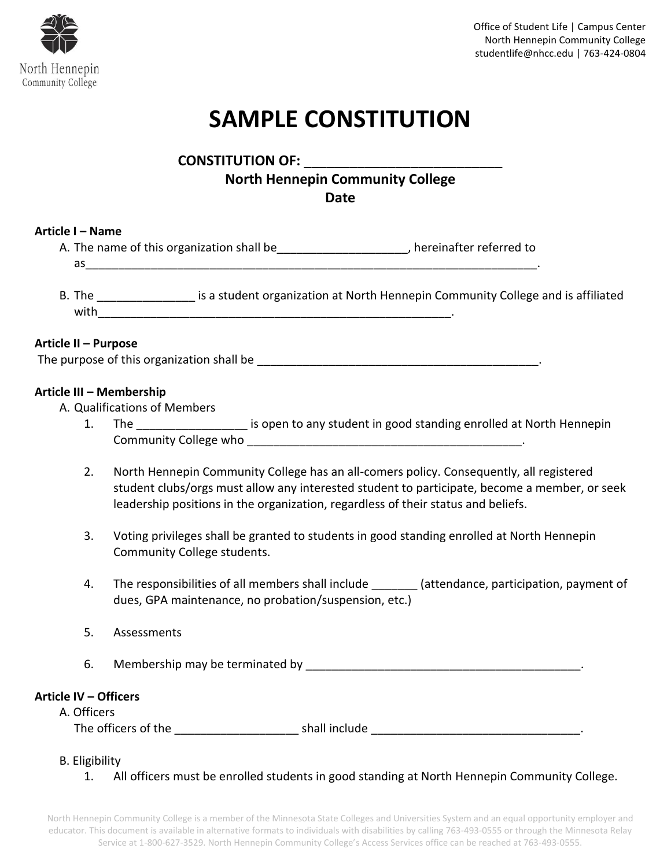

# **SAMPLE CONSTITUTION**

**CONSTITUTION OF:** \_\_\_\_\_\_\_\_\_\_\_\_\_\_\_\_\_\_\_\_\_\_\_\_\_\_

# **North Hennepin Community College**

**Date**

# **Article I – Name**

- A. The name of this organization shall be \_\_\_\_\_\_\_\_\_\_\_\_\_\_\_, hereinafter referred to as\_\_\_\_\_\_\_\_\_\_\_\_\_\_\_\_\_\_\_\_\_\_\_\_\_\_\_\_\_\_\_\_\_\_\_\_\_\_\_\_\_\_\_\_\_\_\_\_\_\_\_\_\_\_\_\_\_\_\_\_\_\_\_\_\_\_\_\_\_.
- B. The **Example 20** is a student organization at North Hennepin Community College and is affiliated  $with$

# **Article II – Purpose**

The purpose of this organization shall be the state of the state of this organization shall be the state of the state of the state of the state of the state of the state of the state of the state of the state of the state

# **Article III – Membership**

A. Qualifications of Members

- 1. The the state of the state of the student in good standing enrolled at North Hennepin Community College who \_\_\_\_\_\_\_\_\_\_\_\_\_\_\_\_\_\_\_\_\_\_\_\_\_\_\_\_\_\_\_\_\_\_\_\_\_\_\_\_\_\_.
- 2. North Hennepin Community College has an all-comers policy. Consequently, all registered student clubs/orgs must allow any interested student to participate, become a member, or seek leadership positions in the organization, regardless of their status and beliefs.
- 3. Voting privileges shall be granted to students in good standing enrolled at North Hennepin Community College students.
- 4. The responsibilities of all members shall include \_\_\_\_\_\_\_ (attendance, participation, payment of dues, GPA maintenance, no probation/suspension, etc.)
- 5. Assessments
- 6. Membership may be terminated by the same of the same of the same of the same of the same of the same of the same of the same of the same of the same of the same of the same of the same of the same of the same of the sam

# **Article IV – Officers**

A. Officers The officers of the \_\_\_\_\_\_\_\_\_\_\_\_\_\_\_\_\_\_\_ shall include \_\_\_\_\_\_\_\_\_\_\_\_\_\_\_\_\_\_\_\_\_\_\_\_\_\_\_\_\_\_\_\_.

# B. Eligibility

1. All officers must be enrolled students in good standing at North Hennepin Community College.

North Hennepin Community College is a member of the Minnesota State Colleges and Universities System and an equal opportunity employer and educator. This document is available in alternative formats to individuals with disabilities by calling 763-493-0555 or through the Minnesota Relay Service at 1-800-627-3529. North Hennepin Community College's Access Services office can be reached at 763-493-0555.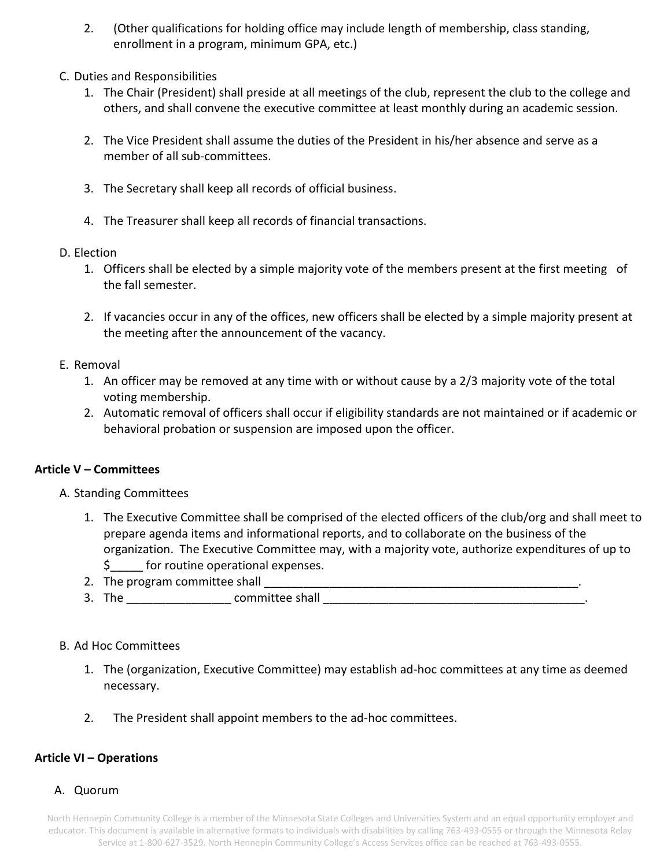- 2. (Other qualifications for holding office may include length of membership, class standing, enrollment in a program, minimum GPA, etc.)
- C. Duties and Responsibilities
	- 1. The Chair (President) shall preside at all meetings of the club, represent the club to the college and others, and shall convene the executive committee at least monthly during an academic session.
	- 2. The Vice President shall assume the duties of the President in his/her absence and serve as a member of all sub-committees.
	- 3. The Secretary shall keep all records of official business.
	- 4. The Treasurer shall keep all records of financial transactions.
- D. Election
	- 1. Officers shall be elected by a simple majority vote of the members present at the first meeting of the fall semester.
	- 2. If vacancies occur in any of the offices, new officers shall be elected by a simple majority present at the meeting after the announcement of the vacancy.
- E. Removal
	- 1. An officer may be removed at any time with or without cause by a 2/3 majority vote of the total voting membership.
	- 2. Automatic removal of officers shall occur if eligibility standards are not maintained or if academic or behavioral probation or suspension are imposed upon the officer.

#### **Article V – Committees**

- A. Standing Committees
	- 1. The Executive Committee shall be comprised of the elected officers of the club/org and shall meet to prepare agenda items and informational reports, and to collaborate on the business of the organization. The Executive Committee may, with a majority vote, authorize expenditures of up to \$\_\_\_\_\_ for routine operational expenses.
	- 2. The program committee shall \_\_\_\_\_\_\_\_\_\_\_\_\_\_\_\_\_\_\_\_\_\_\_\_\_\_\_\_\_\_\_\_\_\_\_\_\_\_\_\_\_\_\_\_\_\_\_\_.
	- 3. The \_\_\_\_\_\_\_\_\_\_\_\_\_\_\_\_ committee shall \_\_\_\_\_\_\_\_\_\_\_\_\_\_\_\_\_\_\_\_\_\_\_\_\_\_\_\_\_\_\_\_\_\_\_\_\_\_\_\_.

#### B. Ad Hoc Committees

- 1. The (organization, Executive Committee) may establish ad-hoc committees at any time as deemed necessary.
- 2. The President shall appoint members to the ad-hoc committees.

# **Article VI – Operations**

A. Quorum

North Hennepin Community College is a member of the Minnesota State Colleges and Universities System and an equal opportunity employer and educator. This document is available in alternative formats to individuals with disabilities by calling 763-493-0555 or through the Minnesota Relay Service at 1-800-627-3529. North Hennepin Community College's Access Services office can be reached at 763-493-0555.